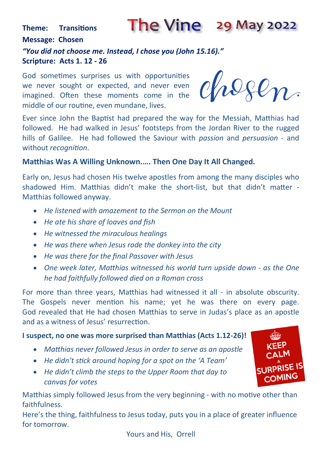#### The Vine 29 May 2022 **Theme: Transitions Message: Chosen** *"You did not choose me. Instead, I chose you (John 15.16)."* **Scripture: Acts 1. 12 - 26**

God sometimes surprises us with opportunities we never sought or expected, and never even imagined. Often these moments come in the middle of our routine, even mundane, lives.

hegen

Ever since John the Baptist had prepared the way for the Messiah, Matthias had followed. He had walked in Jesus' footsteps from the Jordan River to the rugged hills of Galilee. He had followed the Saviour with *passion* and *persuasion* - and without *recognition*.

#### **Matthias Was A Willing Unknown.…. Then One Day It All Changed.**

Early on, Jesus had chosen His twelve apostles from among the many disciples who shadowed Him. Matthias didn't make the short-list, but that didn't matter - Matthias followed anyway.

- *He listened with amazement to the Sermon on the Mount*
- *He ate his share of loaves and fish*
- *He witnessed the miraculous healings*
- *He was there when Jesus rode the donkey into the city*
- *He was there for the final Passover with Jesus*
- One week later, Matthias witnessed his world turn upside down as the One *he had faithfully followed died on a Roman cross*

For more than three years, Matthias had witnessed it all - in absolute obscurity. The Gospels never mention his name; yet he was there on every page. God revealed that He had chosen Matthias to serve in Judas's place as an apostle and as a witness of Jesus' resurrection.

#### **I suspect, no one was more surprised than Matthias (Acts 1.12-26)!**

- *Matthias never followed Jesus in order to serve as an apostle*
- *He didn't stick around hoping for a spot on the 'A Team'*
- *He didn't climb the steps to the Upper Room that day to canvas for votes*

Matthias simply followed Jesus from the very beginning - with no motive other than faithfulness.

Here's the thing, faithfulness to Jesus today, puts you in a place of greater influence for tomorrow.

Yours and His, Orrell

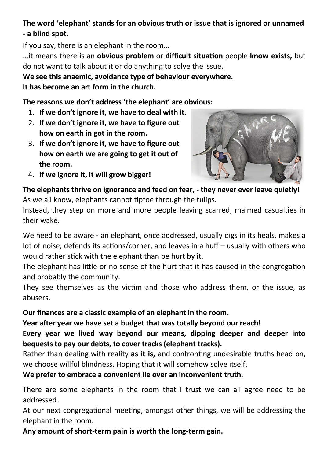## **The word 'elephant' stands for an obvious truth or issue that is ignored or unnamed - a blind spot.**

If you say, there is an elephant in the room…

…it means there is an **obvious problem** or **difficult situation** people **know exists,** but do not want to talk about it or do anything to solve the issue.

## **We see this anaemic, avoidance type of behaviour everywhere.**

**It has become an art form in the church.** 

## **The reasons we don't address 'the elephant' are obvious:**

- 1. **If we don't ignore it, we have to deal with it.**
- 2. **If we don't ignore it, we have to figure out how on earth in got in the room.**
- 3. **If we don't ignore it, we have to figure out how on earth we are going to get it out of the room.**



4. **If we ignore it, it will grow bigger!** 

**The elephants thrive on ignorance and feed on fear, - they never ever leave quietly!** As we all know, elephants cannot tiptoe through the tulips.

Instead, they step on more and more people leaving scarred, maimed casualties in their wake.

We need to be aware - an elephant, once addressed, usually digs in its heals, makes a lot of noise, defends its actions/corner, and leaves in a huff – usually with others who would rather stick with the elephant than be hurt by it.

The elephant has little or no sense of the hurt that it has caused in the congregation and probably the community.

They see themselves as the victim and those who address them, or the issue, as abusers.

## **Our finances are a classic example of an elephant in the room.**

**Year after year we have set a budget that was totally beyond our reach!** 

**Every year we lived way beyond our means, dipping deeper and deeper into bequests to pay our debts, to cover tracks (elephant tracks).**

Rather than dealing with reality **as it is,** and confronting undesirable truths head on, we choose willful blindness. Hoping that it will somehow solve itself.

**We prefer to embrace a convenient lie over an inconvenient truth.**

There are some elephants in the room that I trust we can all agree need to be addressed.

At our next congregational meeting, amongst other things, we will be addressing the elephant in the room.

**Any amount of short-term pain is worth the long-term gain.**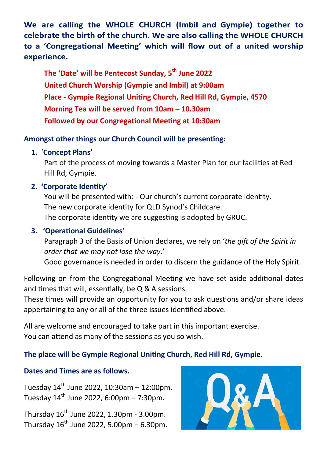We are calling the WHOLE CHURCH (Imbil and Gympie) together to celebrate the birth of the church. We are also calling the WHOLE CHURCH to a 'Congregational Meeting' which will flow out of a united worship experience.

 **The 'Date' will be Pentecost Sunday, 5th June 2022 United Church Worship (Gympie and Imbil) at 9:00am Place - Gympie Regional Uniting Church, Red Hill Rd, Gympie, 4570 Morning Tea will be served from 10am – 10.30am Followed by our Congregational Meeting at 10:30am**

### **Amongst other things our Church Council will be presenting:**

### **1.** '**Concept Plans'**

 Part of the process of moving towards a Master Plan for our facilities at Red Hill Rd, Gympie.

### **2. 'Corporate Identity'**

 You will be presented with: - Our church's current corporate identity. The new corporate identity for QLD Synod's Childcare. The corporate identity we are suggesting is adopted by GRUC.

### **3. 'Operational Guidelines'**

 Paragraph 3 of the Basis of Union declares, we rely on '*the gift of the Spirit in order that we may not lose the way*.'

Good governance is needed in order to discern the guidance of the Holy Spirit.

Following on from the Congregational Meeting we have set aside additional dates and times that will, essentially, be Q & A sessions.

These times will provide an opportunity for you to ask questions and/or share ideas appertaining to any or all of the three issues identified above.

All are welcome and encouraged to take part in this important exercise. You can attend as many of the sessions as you so wish.

## **The place will be Gympie Regional Uniting Church, Red Hill Rd, Gympie.**

### **Dates and Times are as follows.**

Tuesday  $14^{th}$  June 2022, 10:30am – 12:00pm. Tuesday  $14^{th}$  June 2022, 6:00pm – 7:30pm.

Thursday  $16^{th}$  June 2022, 1.30pm - 3.00pm. Thursday  $16^{th}$  June 2022, 5.00pm – 6.30pm.